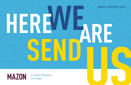COLLEGE HUNGER SCHOOL MPACT REPORT 2019 ISRAEL YOUTH NUMBER NORS MLITRY 8 VETATA TURAL,REMOTE & NATIVE AMERICAN CONTINUES COLLEGE HUNGER SCADE LUNCH ISRAEL YOUTH NUTRITION SENIORS MILITARYS TINDS UNL, EMAN & NATIVE <mark>AMERICAN</mark> IN CILS COLLEGE HUNGER SCHOOL LUNCH **SENDUCER SCHOOL IMPACT REPORT 2019**

**MAZON**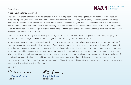#### Dear Friends,

#### **"Here I am. Send me."** (Isaiah 6:8)

The world is in chaos. Someone must act to repair it in the face of great risk and ongoing assaults. In response to this need, this is Isaiah's reply to God: "Here I am. Send me." These words hold the same inspiring power today as they must have thousands of years ago. As champions for those who struggle, who experience derision, bullying, and ever-increasing efforts to intimidate and exclude them — this is our work. When others cannot go, we take up their cause and act on their behalf. When our country seems to be devolving into one we no longer recognize as the hope and inspiration of the world, this is when we must step up. This is what it means to be an advocate for others.

A Jewish Response

**To Hunger** 

**MAZON** 

Here we are, as a community of individuals, partner organizations, religious institutions, clergy leaders and more, stepping up together to confront the great injustice that is hunger, and declaring together: Here we are. Send us.

In these pages, we explore our vision and intention, and how we've brought them to bear on the needs facing our communities. For over thirty years, we have been building a network of relationships that allows us to carry out our work with a deep foundation of expertise. With an ear to the ground and an eye for the missing details, we surface and spotlight issues — and people — that have gone unaddressed by the greater anti-hunger movement. We build capacity in our partners and in our community to be stronger advocates, filling regional, strategic, and moral voids. We educate, and ask that people educate their communities, in the hopes of bringing about systemic change rooted in compassion. We protect and strengthen policies with a proven track record of lifting people out of poverty. You'll hear from our partners, and you'll see time marked in tangible successes. And ultimately, we hope you hear that still, small voice saying, "Send me."

Sincerely,

Liz Kanter Groskind

Liz Kanter Groskind BOARD CHAIR

my fleitman

Abby J. Leibman PRESIDENT & CEO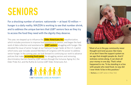## **SENIORS**

For a shocking number of seniors nationwide — at least 10 million hunger is a daily reality. MAZON is working to see that number shrink, and to address the unique barriers that LGBT seniors face as they try to access the food they need with the dignity they deserve.

This year, we stepped up to influence the **Older Americans Act** reauthorization, which includes provisions to improve food assistance to seniors, and began the hard work of data collection and assistance for **LGBT seniors** struggling with hunger. We elevated the issue of senior hunger at our National Hunger Seder at the U.S. Capitol, which every year includes several Members of Congress with the power to address senior hunger. In the coming year, we look forward to continuing our work to advance policies that make **accessing food easier** for struggling seniors and removing discriminatory barriers faced by LGBT seniors through the Inclusive Aging Act, the Elder Pride Act, and the Ruthie & Connie LGBT Elder Americans Act.





"Most of us in the gay community never thought we'd end up poor. But many of us don't have the support system as we age that straight people do. And if sickness comes along, it can drain all your money in one day. That's what happened to me. To be standing in a line with people who need food, no way did I ever think I'd be in this position."

— Barbara, an LGBT senior in New York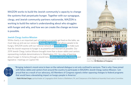MAZON works to build the Jewish community's capacity to change the systems that perpetuate hunger. Together with our synagogue, clergy, and Jewish community partners nationwide, MAZON is working to build the nation's understanding about who struggles with hunger and why, and how we can create the change we know is possible.

#### **Jewish Clergy Justice Mission**

While charity is an important part of making sure people get food on the table, we must step up and use our voices to **change the system** that allows people to be hungry. MAZON works with our national network of **Jewish clergy** to make sure that the Jewish response to hunger is as powerful and resonant as possible. Our 2019 Jewish Clergy Justice Mission brought more than a dozen rabbis and cantors representing multiple denominations to Washington, D.C. for a day of learning about hunger in America through a Jewish lens, **advocacy and policy training,** and legislative meetings on Capitol Hill.



Jewish Clergy Justice Mission participants met with more than **50 Members of Congress**



"Bringing Judaism's moral voice to bear on the national dialogue is not only confined to sermons. That is why I have joined with fellow rabbis and cantors from around the country to participate in MAZON's Jewish Clergy Justice Mission. I am proud that as a result of our advocacy, 60 Members of Congress signed a letter opposing changes to federal programs that would have a devastating impact on hungry people in America."

Rabbi Michael Singer, spiritual leader at Congregation Brith Sholom of Bethlehem, PA, and Chairperson of the Rabbinical Assembly Food Justice Committee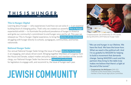### THIS IS HUNGER A community engagement program of **MAZON** | A Jewish Response to Hunger

#### **This Is Hunger: Digital**

Learning about hunger  $-$  who experiences it and how we can solve it  $-$  is an essential building block of changing policy. That's why we created our powerful **This Is Hunger** experiential exhibit — to illuminate the profound prevalence of hunger in America and ignite our community's commitment to end hunger once and for all. This year we released our This Is Hunger: Digital experience, to bring the **stories of six Americans**  struggling with hunger directly to schools, synagogues, communities, and homes nationwide.

#### **National Hunger Seder**

Our annual National Hunger Seder brings the issue of hunger **directly to Congress**  in an engaging, and values-driven event. Bringing together Members of Congress from the House and Senate, subject-matter and policy experts, and members of the Jewish clergy, our National Hunger Seder has become an **important touchstone** for legislators to engage with, and recommit to, the issue of hunger each year.

### **JEWISH COMMUNITY**



Congresswoman Jan Schakowsky (IL-09) speaks during MAZON's 2019 National Hunger Seder

"We can end hunger in our lifetime. We have the food. We have the know-how. What we need is the political will. And I'm so grateful to MAZON for helping to build a movement that demands change. Seeing MAZON's work and the partners they bring to the table truly makes me believe that there's a light at the end of the tunnel."

— Congressman Jim McGovern (MA-02), Chairman of the House Rules Committee, member of the House Agriculture Committee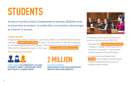## **STUDENTS**

Access to nutritious food is fundamental to learning. MAZON works to ensure that no student, no matter their circumstance, faces hunger as a barrier to success.

#### **College Hunger**

Hunger among college students is a pervasive problem, one that MAZON has been working to **elevate and eradicate** for years. The issue was not officially recognized by the federal government until January 2019 when the Government Accountability Office (GAO) released its report on the issue — **spurred by MAZON advocacy.** 

#### **The results were shocking:**



**TWO THIRDS OF COMMUNITY COLLEGE STUDENTS AREN'T SURE WHERE THEIR NEXT MEAL IS COMING FROM**

### **2 MILLION**

**AT-RISK STUDENTS WHO QUALIFY FOR FOOD ASSISTANCE ARE NOT RECEIVING BENEFITS**



In response to this wide-spread lack of access to nutritious food, MAZON:

- Organized the **Congressional Briefing:**  "Hungry in College: Food Insecurity on American Campuses," in conjunction with the release of the GAO report.
- Co-sponsored and helped draft **28 bills** at the federal and state levels aimed at addressing the causes of college student hunger.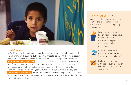

#### **Lunch Shaming**

MAZON was the first national organization to elevate and address the practice of "lunch shaming" through its 2014 work in Minnesota, co-leading the first successful campaign to expose and ban such practices. MAZON leveraged this success to pass **anti-lunch shaming legislation** in California, and assisted partners in New Mexico and Oregon in passing their own anti-lunch shaming bills. Now this unacceptable practice is being fought at the federal level, an important step to ending "lunch shaming" once and for all. This year, MAZON was a crucial voice in crafting the "No Shame at School Act," a bill introduced in the House of Representatives, which makes significant strides to address the cruelty faced by students when their families cannot afford school lunch.

**LUNCH SHAMING** doesn't just happen — it flourishes in ever more creative and cruel forms. Students who are unable to pay are regularly subjected to:



Going through the lunch line only to have their trays of food dumped in the trash and being given half of a cheese sandwich as a replacement;



Being branded with a hand stamp with the word "money" or "low balance;"



Exclusion from school activities — even graduation ceremonies — because of accrued debt.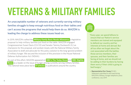# **VETERANS & MILITARY FAMILIES**

An unacceptable number of veterans and currently-serving military families struggle to keep enough nutritious food on their tables and can't access the programs that would help them do so. MAZON is leading the charge to address these issues head-on. "Every year, we spend billions to

In 2019, MAZON crafted the **Military Family Basic Needs Allowance,** a legislative proposal to help military families put food on the table. MAZON engaged Congresswoman Susan Davis (CA-53) and Senator Tammy Duckworth (IL) as champions for this proposal, and worked closely with the National Military Family Association to draft and advocate for this policy solution to the long-ignored problem of military hunger. We secured the inclusion of this provision in the House National Defense Authorization Act (NDAA).

As part of this effort, MAZON appeared on **NBC's The Today Show** and **NBC Nightly News** as a leader on the issue of hunger among currently serving military families. This national news piece led to **17 articles** in publications around the country.



ensure that our Nation's service members are trained and equipped to defend our country and her interests at home and abroad. But all too often we forget about the cost associated with the battles those service members, their spouses, and their families are facing at home, and we should not be adding to their burdens by having them worry if their child is going to bed hungry."

— Representative Don Young (R-AK), Statement submitted to and read during MAZON's Military Hunger telephonic press conference, July 2019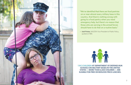

"We've identified that there are food pantries on or near almost every military base in this country. And there's nothing wrong with going to a food pantry when you need emergency help, but there's no reason that those who are serving in the armed forces should have to do that on a routine basis."

— Josh Protas, MAZON Vice-President of Public Policy, quoted on NBC



**1 IN 3 CHILDREN AT DEPARTMENT OF DEFENSE-RUN SCHOOLS ON MILITARY BASES IN THE UNITED STATES — MORE THAN 6,500 CHILDREN — ARE ELIGIBLE FOR FREE OR REDUCED PRICE LUNCHES.**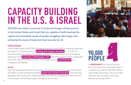## **CAPACITY BUILDING IN THE U.S. & ISRAEL**

MAZON has made it a priority to build anti-hunger infrastructures in the United States and Israel that are capable of both meeting the urgent and immediate needs of people struggling with hunger and achieving the vision of long-term food security for all.



#### **United States**

In the United States, MAZON's Emerging Advocacy Fund (EAF) is enjoying important successes in its second year of **funding anti-hunger advocates** in 11 of the 15 most food insecure states in the nation. In 2019, MAZON hosted its first Emerging Advocacy Fund **convening in Washington, D.C.** MAZON partners met to collaborate with each other and report on their anti-hunger work in **rural America** in a Congressional Briefing.

#### **Israel**

We have made great strides in our work to build awareness of the scope of the issue of hunger in Israel among the broader **Israeli civil society movement.** This work has deepened the movement's understanding of the role the Israeli government can and should play in combatting hunger throughout the country.



in **MISSISSIPPI** can now access the food they need due to the hard work of a coalition formed by MAZON-funded anti-hunger advocates, who overturned a lifetime ban on people with drug felonies accessing SNAP.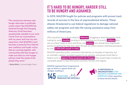"The connections between antihunger advocates in politically similar states that MAZON has fostered through the Emerging Advocacy Fund have been exceptionally valuable to our work. I know from my conversations with my peers and from my own experience, that MAZON's work has been a powerful force behind new coalitions and louder voices that are working together with communities that face hunger to make sure that our anti-hunger policies meet the needs of the people they serve."

— Danny Mintz, Louisiana Budget Project

### **IT'S HARD TO BE HUNGRY, HARDER STILL TO BE HUNGRY AND ASHAMED.**

In 2019, MAZON fought for policies and programs with proven track records of success in the face of unprecedented attacks. These attacks threatened to use federal regulations to damage national safety-net programs and take life-saving assistance away from millions of Americans.

Who would be hurt in these attacks? **Veterans** struggling to feed themselves while looking for work, **families** working to lift themselves out of poverty, **children** who rely on school meals to learn and thrive, and **seniors** who already face heightened barriers to getting the help they need. All told, our efforts protect vital food assistance for over **2,000,000 people in need.**

MAZON submitted public comments informed by our decades of expertise, led an interfaith coalition, provided support to our partners, and joined a brief filed in federal court to **oppose these proposed rule changes** that would make it harder for vulnerable people to feed themselves and their families with dignity.

MAZON organized three Congressional sign-on letters to oppose these rule changes, resulting in



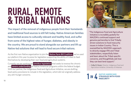## **RURAL, REMOTE & TRIBAL NATIONS**

The impact of the removal of indigenous people from their homelands and traditional food sources is still felt today. Native American families have limited access to culturally relevant and healthy food, and suffer from some of the highest rates of hunger, diabetes, and obesity in the country. We are proud to stand alongside our partners and lift up Native-led solutions that will lead to food secure tribal nations.

As the first non-Native organization to join the **Native Farm Bill Coalition,** we've used our platform this year to press for legislation supporting the ability of tribes to feed themselves by developing their own food and agriculture systems.

Currently we are working on **omnibus legislation** that seeks to reverse the chronic and **severe underfunding** of Native American programs within the federal budget. With our partner, the Indigenous Food and Agriculture Initiative, we are drafting food-policy provisions to include in this legislation, which did not originally address any anti-hunger concerns.<br> **1 IN 4 IN ATIVE AMERICANS**<br> **1 IN ATIVE AMERICANS** 



"The Indigenous Food and Agriculture Initiative is incredibly grateful for MAZON's continued support and genuine partnership to find Tribally driven solutions to food insecurity issues in Indian Country. This is exemplified by MAZON's approach to directly engage IFAI and Tribal stakeholders, respectfully listen and learn about the Tribal-specific concerns, and thoughtfully ask how they can best lend support."

— Colby D. Duren, Director, Indigenous Food and Agriculture Initiative, University of Arkansas

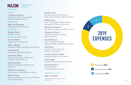

mazon.org

#### **CHAIR**

Liz Kanter Groskind *Executive Committee, Tucson Jewish Community Relations Council\**

TREASURER

Rabbi Joel Pitkowsky *Congregation Beth Sholom (NJ)*

#### **SECRETARY**

Morgan Powell *Real Estate Investor*

#### BOARD OF DIRECTORS

Sara M. Albert *Temple Emanu-El (Dallas, TX)*

Adam L. Berger *Investment Strategist, Wellington Management*

Julie Chernoff *Dining Editor, Make it Better Media*

Leonard A. David *SVP & Chief Compliance Officer (Ret.), Consultant, Henry Schein, Inc.*

Shirley Davidoff<sup>o</sup> *President, Congregation Shearith Israel (Dallas, TX)*

Michelle W. Goldman *Vice President – Human Resources, Verizon*

Steven Krikava *Advocacy Committee, Jewish Family & Children's Service of Minneapolis*

#### David A. Lash

*Managing Counsel for Pro Bono and Public Interest Services, O'Melveny & Myers*

#### Randall Lewis

*Senior Vice President of Business Affairs and Legal, CBS Television Distribution*

Richard Loewenstein *Chief Executive Officer, TeamGame Advisors*

Theodore R. Mann° *Past Chair, Executive Committee, Israel Policy Forum*

#### Ana Mendelson

*Speech-Language Pathologist, Weisman Children's Rehabilitation Hospital*

Talia Rosen *Executive & Sales Assistant to Chairman, Pace Gallery*

Carolyn Schwarz Tisdale *President, Hebrew Free Loan Detroit*

Daniel Segal *Hangley Aronchick Segal Pudlin & Schiller*

Leonard Fein (z"l) *Founder, MAZON: A Jewish Response to Hunger*

#### PRESIDENT & CEO Abby J. Leibman

\* Titles for identification purposes only ° Past Chair



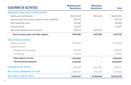| <b>STATEMENT OF ACTIVITIES</b>                            | <b>Without Donor</b><br><b>Restrictions</b> | <b>With Donor</b><br><b>Restrictions</b> | <b>Total</b> |
|-----------------------------------------------------------|---------------------------------------------|------------------------------------------|--------------|
| <b>REVENUES, GAINS AND OTHER SUPPORT</b>                  |                                             |                                          |              |
| Grants and contributions                                  | \$6,276,229                                 | \$354,424                                | \$6,630,653  |
| Special events, net of direct benefit of costs of \$8,906 | 100,779                                     |                                          | 100,770      |
| Net investment return                                     | 132,483                                     |                                          | 132,483      |
| Interest income                                           | 63,227                                      |                                          | 63,227       |
| Net assets released from restriction                      | 520,172                                     | (520, 172)                               |              |
| Total revenues, gains and other support                   | 7,092,881                                   | (165, 748)                               | 6,927,133    |
| <b>FUNCTIONAL EXPENSES</b>                                |                                             |                                          |              |
| Program services                                          | 5,352,956                                   |                                          | 5,352,956    |
| <b>Support Services</b>                                   |                                             |                                          |              |
| Management and general                                    | 508,789                                     |                                          | 508,789      |
| Fundraising                                               | 775,816                                     |                                          | 775,816      |
| <b>Total support services</b>                             | 1,284,605                                   |                                          | 1,284,605    |
| <b>Total functional expenses</b>                          | 6,637,561                                   |                                          | 6,637,5615   |
| <b>CHANGE IN NET ASSETS</b>                               | 455,320                                     | (165, 748)                               | 289,572      |
| <b>NET ASSETS, BEGINNING OF YEAR</b>                      | 4,209,307                                   | 1,535,354                                | 5,744,661    |
| <b>NET ASSETS, END OF YEAR</b>                            | 4,664,627                                   | \$1,369,606                              | \$6,034,233  |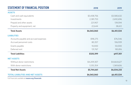| <b>STATEMENT OF FINANCIAL POSITION</b>  | 2018        | 2019        |
|-----------------------------------------|-------------|-------------|
| <b>ASSETS</b>                           |             |             |
| Cash and cash equivalents               | \$3,438,756 | \$3,580,632 |
| Investments                             | 2,381,753   | 2,692,696   |
| Prepaid and other assets                | 221,907     | 139,594     |
| Property and equipment, net             | 22,644      | 38,612      |
| <b>Total Assets</b>                     | \$6,065,060 | \$6,451,534 |
| <b>LIABILITIES</b>                      |             |             |
| Accounts payable and accrued expenses   | \$98,275    | \$76,546    |
| Accrued personnel costs                 | 80,357      | 106,939     |
| Grants payable                          | 10,000      | 50,000      |
| Deferred rent                           | 131,767     | 183,816     |
| <b>Total Liabilities</b>                | \$320,399   | \$417,301   |
| <b>NET ASSETS</b>                       |             |             |
| Without donor restrictions              | \$4,209,307 | \$4,664,627 |
| With donor restrictions                 | 1,535,354   | 1,369,606   |
| <b>Total Net Assets</b>                 | \$5,744,661 | \$6,034,233 |
| <b>TOTAL LIABILITIES AND NET ASSETS</b> | \$6,065,060 | \$6,451,534 |

Full financials available at **mazon.org/financials**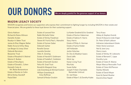# **OUR DONORS We are deeply grateful for the generous support of our donors.**

### MAZON LEGACY SOCIETY

MAZON recognizes and honors our supporters who express their commitment to fighting hunger by including MAZON in their estate and financial plans. We are grateful to these loyal donors for their sustaining support.

Gloria Adelson Richard & Elaine Allinson Danielle Avidan Rosalyn A. Baker Trust James & Elise Wagner Ballan Rabbi Aviva & Arthur Berg Lee Berger & Linsey Silver Deborah Bernstein Bessemer Trust Estate of Rosalind A. Biskind Marion E. Bodian Estate of Nina Byers Estate of Donald L. Cohen Kenneth Colen & Mr. Blaise Bonaventure Estate of Bonita Jo Coltin Bill & Shirley Davidoff Paula Eldot

Estate of Leonard Fein Rabbi Michelle Fisher Estate of Shirley Freedman Steven M. Fruh & Paul L. Marsolini Estate of Hyman Gabai Deborah Garber Ronelle Genser Laurette Gensler Allen A. Ginsling Estate of Harold R. Goldmann Estate of Fredelle E. Goldstein Estate of Kenneth Gordon Felice M. Grad Trust Ronald & Margaret Gray Lida Greenberg & Michael Exstein William Greenberg & Arlyn Roffman Samuel & Roslyn Grodzin

Liz Kanter Groskind & Eric Groskind Estate of Norton Haberman Estate of Sabina H. Harris Stacy Harris Estate of Philip A. Herman Estate of Sylvia Holder Jeff Hollander Jackie Holsclaw Dr. Dov & Madelyn Isaacs David Jaffe Micki Jay Kaiser Living Trust Rita Katz Susan Keller Joseph P. Klein Charitable Remainder Unitrust Dr. Joel Klass Estate of Myer S. & Dorothy Kripke

Terry Kraus Abbey & Stephen Kreinik Steven Krikava & Linda Singer Dr. Peter & Ruth Laibson Adrianne Lebensbaum Estate Helen Stone Levenson Neil & Jane Levy Sherry Lewis Estate of Shirley W. Liebowitz Estate of Bernard C. Lippa Dorothy Lurie Estate of Claire R. Manne Meyer Marcus Revocable Trust Estate of Claire McPherson Stanley Meisels Estate of David Meyer Karol & Daniel Musher David & Elsie Napell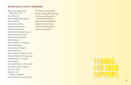#### MAZON LEGACY SOCIETY CONTINUED

Beverly W. Neumetzger Revocable Trust Jerry Newman Estate of Betty Nierenberg Dr. Fred Pastor Estate of June Polis Sanford & Ina Ramras Fred & Rosalie Roder Rabbi John & Barbara Rosove Estate of Esther S. Rubin Moses & Kay Safirstein Mark Schuster Estate of Ruth T. Schwager Paul & Ruth Segal Steven & Linda Shapiro Russell Sherman Rose L. Shure & Sidney N. Shure Estate of Mildred M. Sigismund Estate of Harry C. Sigman Harry Sigman Dr. Robert Simon & Amy Smith Seymour & Susan Sperling Jacalyn E. Starr Daniel A. and Barbara Sugarman Robin Thomas & Louis Jacobs

The Estate of Paula Eldot Estate of Peggy Ruth Erlanger The Estates of Bernard & Bernice Wasserman Naomi and Gerald Weiner Martin F. Witkin Estate Estate of Rina Yokoyama Seymoure Zagoreen

### **THANKS FOR YOUR SUPPORT.**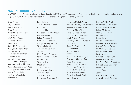#### MAZON FOUNDERS SOCIETY

MAZON Founders Society members have been donating to MAZON for 18 years or more. We are pleased to list the donors who reached 18 years of giving in 2018. We are grateful to these loyal donors for their long-term and ongoing support.

Bryan Aaron Gay Abarbanell Seth & Lynn Abraham David & Jan Abraham Richard & Beverly Abrams Doris Abrams Iain & Diane Adam Laurence Adelman Rita Altman Richard & Barbara Altman Ben Tysch & Rachel Andres Mr. Lawrence & Dr. Marcia Clark Arem Madeline Aron James J. Aschberger & Dr. Andrea J. Elberger Stewart & Gayle Ashkenazy Rabbi Jill Borodin & Cary Atlas Dan Bagatell & Anne E. Gelb Marc & Pamela Bain Jonathan & Cara Baker Patricia Baker

Isabel Balboa Adam & Pamela Barasch Lois Cozyris Judith Baskin Dr. Robert & Rosyland Bauer Diane Eidelman Robert & Jeanne Becker Kent & Linda Beckwith George & Randy Beckwith Stephen Behrend Adar (Irving) Belinkoff Jack Belkin Mark & Judith Benjamin Larry & Brooke Benowitz Dr. Allison Berger Stuart Berkowitz Mae Berman Jonathan Berman Dr. Larry & Audrey Bernstein Terry Bernstein Adelle Bernstein Dr. Howard & Marjorie Berrent Herbert & Michele Better Bernard & Beverly Gray Bienstock Stephen & Marjorie Bladd Charles & Claire Blauer Donald & Linda Blauner Dr. Stuart & Dorothy Bless Jacob & Nancy Bloom Dr. Harry & Eleanor Bluestein Diane Boehr Rabbi Eva Sax-Bolder & Larry Bolder Michael Bomstein Robert Book Mitchell & Michele Borger Drs. David & Eva Bradford Robin Brandes-Gibbs Philip & Alison Braverman Dr. Sidney & Bernice Breibart Mark & Kathleen Bressler Eric & Elizabeth Brewer Dr. Leslie & Bonnie Bricker Daniel Brodkey

David & Shirley Brody Dr. Michael & Carol Bromer Lawrence & Joyce Brooks Robert M. Brown Marc & Ellen Brown Dr. Henry Brown Dennis Brown Dr. Peter & Emily Buch Harold & Dr. Joan Burstyn Myron & Felissa Cagan Dr. Martin & Sonia Cane Lee & Andria Canel Edythe Cannon Robert & Margaret Cant Philip & Miriam Cantor Drs. Peter Carlton & Janet Berson Robert & Linda Carpenter Robert Caslow Judith Cassorla Joan Chase Barry & Millie Chauser Cary & Deborah Cherniss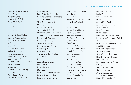Karen & Daniel Chilowicz Peggy Chipkin Richard J. Christl & Jeannette A. Cohen Richard & Judith Clark Caryn Clayman Helen Cohen Jason Cohen Elaine Cohen Michael & Naomi Cohen David & Vernice Cohen Albert & Betty Cohen Jo Cohen Cheri & Jeff Cohn Daniel & Florence Cole Barbara Kurshan Coleman Selma Cooperband Robert & Andrea Costello Steven Cramer & Bonnie Macwhinney-Cramer Jacques Dahan Marcia Daniel Norman & Sharon Darling Ellen Darr Paul & Susan Davis Dr. Scott & Denise Davis

Cara DeGraff Barry & Sandra Demovsky Harold & Charlotte Denenberg Adele Diamond Shari & Seth Diamond Milton & Felice Diller Ned & Ellen Dorman Stuart & Emily Dornfeld Stephen & Sharon Brill Downs Samuel & Judith Ann Dubelman Ms. Nancy L. Dudwick Dr. David & Roberta Ehrenreich Sherman & Ellen Eisner David & Victoria Elenowitz Renate Elgart Michael Slater & Shoshana Elkin Waskow Alan & Shulamit Elsner Leah Emdy Joseph & Dr. Michael Engel Ruth Epstein Harvey Epstein Steve Epstein Dr. Robert & Miriam Epstein Richard & Marcie Eskin Richard & Margery Estrin

Philip & Marilyn Ettman Irene Ewig Mr. Howard Fabrick Raphael L. Colb & Katherine H. Fair Joel & Jean Falchook Joy Fallek Robert & Sue Faron Ronald & Geraldine Fash Harvey & Mara Fein Richard & Helen Fein Dr. Kate A. Feinstein & Richard Skolly Toba Feldman Fred & Anita Feldman Michael & Nancy Feller Joseph & Patricia Fichtelberg Barbara Fineman Carol Finerman Kathryn Fink Minnie Finkelstein Alan & Dara Finkelstein E. David & Reda First Jerome & Malory Fischer Dr. Gary & Ellen Fischer Donald & Sandra Fishman George Flamm

David & Edith Flyer Rachel Forman Earl & Beatrice Forman Ed Fox Alan & Mimi Frank Jeffrey & Debra Fredman Janet Freedman Boyd Freedman Stuart Freedman Howard & Lorraine Freeman Dr. Michael & Shoshannah Freilich Mr. Ronald M. Friedman Dr. Richard & Adrienne Friedman Arnold Friedman Dr. Alan & Sheila Friedman Walter Friedman Steven & Janice Friedman Philip & Frances S. Froehlich Elaine Furman Dr. Lester & Carolyn Garfinkel Peter Gellman William & Sheila Gerber Shoshana Gerson Mitchell & Carol Gerson Vern & Sheila Gideon Howard & Jacqueline Gilbert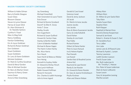William & Adele Gilman Barry & Estelle Glasgow Susan Glass Blossom Glasser Steven & Lynne Glasser Harvey & Susan Glick Dr. Alan Glickman & Dr. Nanette Santoro Cynthia A. Fissel Marc & Meg Gold Nancy Goldberg Karolyn Goldenberg Eric & Joyce Goldman Richard & Roslyn Goldman Don Goldstein Stuart Goldstein Susan Goldstein Dr. Larry & Karen Goldstein Michele Goldstein Dr. Mark & Cynthia Goodman David & Meryl Gordon Ellen & Michael Gordon Dr. Barry & Marilyn Green Seymour & Nancy Green Leona Green Anne & Allan Greenberg

Jay Greenberg Michael Greenfield Alan Greenstein & Laura Tranin Esta Grocer Richard & Ronnie Grosbard David P. & Ellen K. Gross Anita T. Grow Shelley Grudin Ann Gugenheim Richard & Susan Guilford Howard & Carolyn Haas Stanley & Berthe Habib Calvin & Babette Haddad Michael & Renee Hagen The Haimi-Cohen Family Ms. Alice Harris Fern Hauck Sean Hecht & Rebecca Weiker Fern Heinig Kenneth & Audrey Heller Dr. Edward & Shirley Hirsch Sara Lynch Hoffman Rabbi Howard Hoffman Renee B. Horowitz Drs. Charles & Judith Huizenga John & Anne Ingard

Gerald & Carol Israel Solomon Israel David & Jenny Jackson Jill Jacob Dr. Martin & Irene Jacobs Jeanne Jacobs Lois Jacobs Ross & Maria Guazzaroni Jacobs Garry & Linda Kahalnik David Kahan Stanley & Lois Kaish Paul Kalka Richard Kanner Gilbert & Elaine Kanter Peter & Joyce Kanyuk Ira & Helene Kaplan Paul Karasik Lee Kassel Sandra Katz & Rosalind Levine Arlene Keil Raymond & Laya Kesner Randy & Jan Kessler Dr. Howard & Karen Kessler Dr. Gary & Joanne Kirshenbaum Phyllis Kirshner Allan and Sharon Kleban

Abbey Klein William Klein Dr. Milton & Lynn Sacks Klein Toby Klein Sandra Susan Klein Stephen Klein Ruth Klepper Naphtali & Marian Knox David & Denise Kooperman Samuel & Jan Koret Robert L. Kramer & Susan S. Saxl Dr. Geraldine Kurz Terry LaBan Ann Labe James Lane & Jill Ruesch Lane Michael & Ayelet L. Larsen Tammy Lawrence Judith Gordon-Lawson Fred & Susan Lebe Ms. Ruth Lederman & Mr. Timothy C. Heeran Drs. Peter & Susan Lederman Mark & Karen Lefkowitz Susan Lessin Gary & Jacqueline Lessing Martha Leviant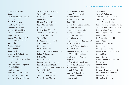Lester & Rose Levin Stuart Levine Dr. Howard & Lisa Levinsky Sylvia Levitan Gary & Carol Levy Stanley & Anita Levy Reuben & Mimi Levy Bertram & Raquel Lewitt David & Linda Lezak Roger & Adele Lieberman Barry & Madeline Light, & Lindsey Marmorstein Susan Lilly Bonnie Lindauer Ruth Lindner Stuart Lipsitz Dr. Arthur & Judith Lipton Richard Liskov Leonard G. & Sheila London Steven Lorch Edward & Sandra Lorgeree Will & Bobbi Lorry Sarah Lovinger Brent & Linda Lowenberg Andy & Tracey Lowenthal Leonard & Marian Lubinsky Stuart Lutz & Sara McHugh Stephen Machol Gerald & Judith Macks Odette Malka Richard & Arlene Mandel Paula Marcus-Platz Lyla Marder David & June Marinoff Jack & Marcia Markowitz Jeffrey & Jane Marks Steven Marks Dr. Arthur & Bebby Marlin Arthur Fleishman Marie Mason Michael Massing Douglas Masters & Jane Pence Robert & Shirley Max Robert Mayer Dinah Mcnamara Roger & Anita Rubin Meiller Lewis & Deborah Meixler Drs. Erwin & Catherine Mermelstein Steven Mervis & Lisa Weinreb-Mervis Walter & Linda Meyer Gary & Donna Meyers

Jeff & Shirley Michaelson Larry & Rosemary Mild Blossom Miller Ronald & Susan Miller Susan Miller Dr. Mitchell & Joette Mindlin Marjorie Mitchell Leonard And Mona Mitnick Annette Montgomery Deborah Dash Moore Ivan & Rona Morris Jeremy R. Moser & Laura B. Kittle Harold & Lani Moss Jerome & Elaine Muhlberg Ilene Mulhern Samuel & Nancy Mushnick Jeff & Nicki Nachenberg Stephen & Shari Naman Ralph Nash Jeffrey & Linda Needleman Drs. William & Susan Neigher Ira & Helaine Nelson Joseph & Carmen Ness David & Barbara Niles Anthony Nocchiero Laura Novick

Jan O'Brien Steven & Esther Oakes Arthur & Judith Obermayer William & Lynda Ortner James & Ronni Ozello Luisa Paster & Harriet Bernstein Jeffrey & Francine Pearlman-Storch David & Clare Perry Steven Petlock & Frances Habib Rose Petretti Dr. Stanford & Lonna Picker Judith Plaskow Robert & June Plotkin Ruth Potts Donald & Alice Pratt Robert & Elizabeth Pressman Michael Price Judith Rabbie Rabbi Arnold Rachlis & Cantor Ruti Braier Edward Radel Bryna Rapp Donald & Sydell Rappaport Dr. David & Sheryl Reicher Edward & Sharyn Reiff Eli & Adina Reshotko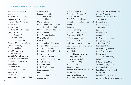Gary & Angela Retelny Martin Rich Richard & Diana Richter Stephen Gary Ringel & Marilyn Sue Weinstein Neil Roland Michael Roosth Dr. Howard & Helene Rose Shelley Rose Harvey S. Rosen & Marsha E. Novick Dr. Robert & Laurie Rosen Robert & Miriam Rosenbaum Steven Rosenberg Carol Rosenblatt Dr. & Mrs. Jeffrey & Kathleen Rosenfeld Ernest & Arline Rosenfeld Gary & Halina Rosenkranz Carl & Rose Rosenzweig Jaimie Ross Dr. Deborah Roth Martin & Cindy Rowe David & Fern Rubin Gail Ruder Steven & Margaretha Rudolph

Claire Russakoff Kenneth C. Regal & Judy Ruszkowski Judith Ruthberg Merrill Rutman David Sabih & Anna Swartley James & Caroline Saklad Mr. Michael & Dr. Jill Salberg David Salpeter Larry & Eileen Samberg Mitchell Sandler Frank Sandy Alan R. Sankin & T. R. Barnes Hyman & Marilyn Saposh Mark & Nancy Sarles Dr. Matthew & Carol Scharff Nathan Schatz Alan & Myrna Schenkel Alan & Dr. Barbara Schindler David Schlosser Lucy Schmeidler Fred & Eva Schneider Scott Schnipper Eric Schoen Marilyn Phillips Schreiber Jack Schuster

Mildred Schwartz Dr. Steven S. Schwartz & Amy Lyn Zuker Gary & Barbara Schwarz Stuart & Marylu Gleeson Schweid Shirley Sechler Shirley Seide Lewis Seidenberg Michael & Adele Serber Drs. S. Gary & Lisa Serbin R. Peter & Betty Shapiro Maura Smotrich Philip Jansen & Ariel Shattan David Shaw & Fern Paula Nemenyi Richard Shaw Irene Sholk Mark & Elisabeth Shorstein Zachary Shulkin & Nancy A. Mantell Mark & Lynne Siegal Monte Silberger Zelda Silberstein Robert E. Silverman & Randi Leavitt Selma Silverman David & Gail Silverman R. Morton & Joann Simon

Stephen & Miriam Rogers Singer Morton & Joan Sitver Marvin & Rochelle Skolnick Sam Slonim Deborah Sloyer Gary & Francine Snyder Sara Sobel Reva Sober Helene Sobin Rochelle Solomon Dr. Seymour Solomon David Solomon & Lisa Siegel Solomon Les & Leah Soltes Dr. Allen & Bj Sonstein Mark & Mindy Sotsky Daniel Soyer Judith & Richard Spiegel Robert Spies Peter & Harise Staple Steven & Carolyn Starr Ms. Pamela J. Stein Sara Stein & Sydney Smith Cecile Stern Ronald & Sherry Stewart James I. Stoller & Susan Lieberman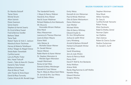Dr. Marsha Stolzoff Tamar Stone Michal Strutin Alton Sutnick Diane Swanson Sylvia Swartz Stephen & Harriet Swartz Dr. Errol & Beryl Sweet Fred & Bernice Swidler Barbara Tabak Tama Taub Robert Taylor & Vicki C. Jackson Marsha & Kevin Teichman Harvey & Roberta Teitelbaum Arthur Telegen & Abigail Ostow Sheila Rabin Tenenblatt Cynthia Launer Larry & Phyllis Ticker Mrs. Hazel Tishcoff Frank L. Tobin & Ilene M. Chester Daniel & Talia Torbati Barbara Scheinman Alan & Merryl Traub John Traxler & Anne Dayer David & Rhya Turovsky Cantor Arlyne & Mr. Ronald Unger The Vanderbilt Family I. Mayer & Nancy Wabner Harold & Amy Waisel Ned & Susan Waldman Richard Waldow & Ann Markowitz Mr. Bruce & Honorable Miriam Waltzer Ettie Ward Mary Wasserman Lawrence & Theresa Waxman Lewis & Eileen Wayne Elaine Weill John Weiner & Michelle Glaser-Weiner Dr. Gerald Weiner Steven Weiner Rabbi Martin & Karen Weiner Dr. Stephen Weinstein & Wendie Eigen-Weinstein Joseph Weintraub Roney & Gail Weis Edward & Betty Weisberger Kenneth & Carol Weiser Paul A. Weiss & Allison Kent Weiss Dr. Jerrold & Mrs. Sue Weiss Scott & Debra Weiss

Emily Weiss Kenneth & Linn Weissman Paul & Mindy Weitman Otto & Elaine Weitzenkorn Elaine Weitzman Joan Werber Michael White Glen & Nancy Whitney Edward Snyder & Dr. Ann Wimpfheimer Joshua & Judith Wind Larry Wineberg Arnold & Barbara Winikoff Herbert & Elisabeth Winter Irvin Wise Sandi Wisenberg Jerry & Judy Wiskin Aaron & Patricia Wold Penny Wolf David P. Wolf & Ann Bardacke Anita Wolfson Arlene Wolk Randy Meg Kammer & Jeff Wollitz Nanette Wong Edward Woolner Gregory Worley

Stephen Wortman Nina Wouk Milton Yanofsky Dr. Gary & Cynthia Koniak Yanowitz Robyn Young Elliot Zavilowitz Ralph & Shelley Zemel Norman Zipkin Ian Zlatbliss Alan Zubrow Robert & Clarice Zucker Nadine Zuckerman Dr. Gerald E. Zuriff